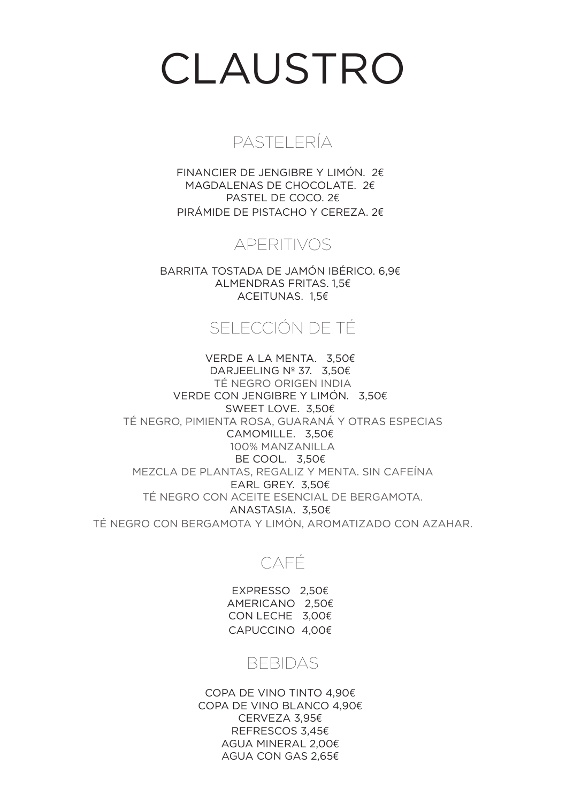# CLAUSTRO

### PASTELERÍA

FINANCIER DE JENGIBRE Y LIMÓN. 2€ MAGDALENAS DE CHOCOLATE. 2€ PASTEL DE COCO. 2€ PIRÁMIDE DE PISTACHO Y CEREZA. 2€

## APERITIVOS

BARRITA TOSTADA DE JAMÓN IBÉRICO. 6,9€ ALMENDRAS FRITAS. 1,5€ ACEITUNAS. 1,5€

# SELECCIÓN DE TÉ

VERDE A LA MENTA. 3,50€ DARJEELING Nº 37. 3,50€ TÉ NEGRO ORIGEN INDIA VERDE CON JENGIBRE Y LIMÓN. 3,50€ SWEET LOVE. 3,50€ TÉ NEGRO, PIMIENTA ROSA, GUARANÁ Y OTRAS ESPECIAS CAMOMILLE. 3,50€ 100% MANZANILLA BE COOL. 3,50€ MEZCLA DE PLANTAS, REGALIZ Y MENTA. SIN CAFEÍNA EARL GREY. 3,50€ TÉ NEGRO CON ACEITE ESENCIAL DE BERGAMOTA. ANASTASIA. 3,50€ TÉ NEGRO CON BERGAMOTA Y LIMÓN, AROMATIZADO CON AZAHAR.

## CAFÉ

EXPRESSO 2,50€ AMERICANO 2,50€ CON LECHE 3,00€ CAPUCCINO 4,00€

### BEBIDAS

COPA DE VINO TINTO 4,90€ COPA DE VINO BLANCO 4,90€ CERVEZA 3,95€ REFRESCOS 3,45€ AGUA MINERAL 2,00€ AGUA CON GAS 2,65€